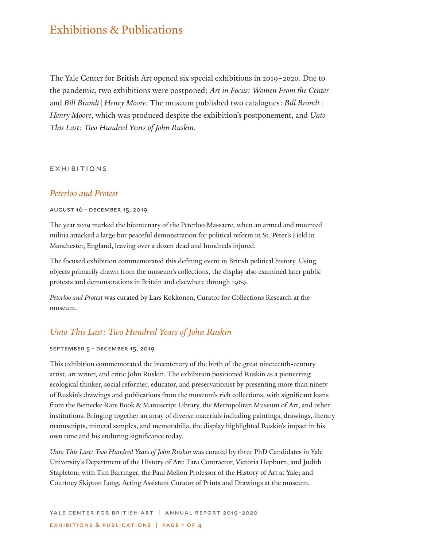# Exhibitions & Publications

The Yale Center for British Art opened six special exhibitions in 2019–2020. Due to the pandemic, two exhibitions were postponed: *Art in Focus: Women From the Center* and *Bill Brandt|Henry Moore*. The museum published two catalogues: *Bill Brandt| Henry Moore*, which was produced despite the exhibition's postponement, and *Unto This Last: Two Hundred Years of John Ruskin*.

#### **EXHIBITIONS**

## *Peterloo and Protest*

#### august 16 – december 15, 2019

The year 2019 marked the bicentenary of the Peterloo Massacre, when an armed and mounted militia attacked a large but peaceful demonstration for political reform in St. Peter's Field in Manchester, England, leaving over a dozen dead and hundreds injured.

The focused exhibition commemorated this defining event in British political history. Using objects primarily drawn from the museum's collections, the display also examined later public protests and demonstrations in Britain and elsewhere through 1969.

*Peterloo and Protest* was curated by Lars Kokkonen, Curator for Collections Research at the museum.

# *Unto This Last: Two Hundred Years of John Ruskin*

#### september 5 – december 15, 2019

This exhibition commemorated the bicentenary of the birth of the great nineteenth-century artist, art writer, and critic John Ruskin. The exhibition positioned Ruskin as a pioneering ecological thinker, social reformer, educator, and preservationist by presenting more than ninety of Ruskin's drawings and publications from the museum's rich collections, with significant loans from the Beinecke Rare Book & Manuscript Library, the Metropolitan Museum of Art, and other institutions. Bringing together an array of diverse materials including paintings, drawings, literary manuscripts, mineral samples, and memorabilia, the display highlighted Ruskin's impact in his own time and his enduring significance today.

*Unto This Last: Two Hundred Years of John Ruskin* was curated by three PhD Candidates in Yale University's Department of the History of Art: Tara Contractor, Victoria Hepburn, and Judith Stapleton; with Tim Barringer, the Paul Mellon Professor of the History of Art at Yale; and Courtney Skipton Long, Acting Assistant Curator of Prints and Drawings at the museum.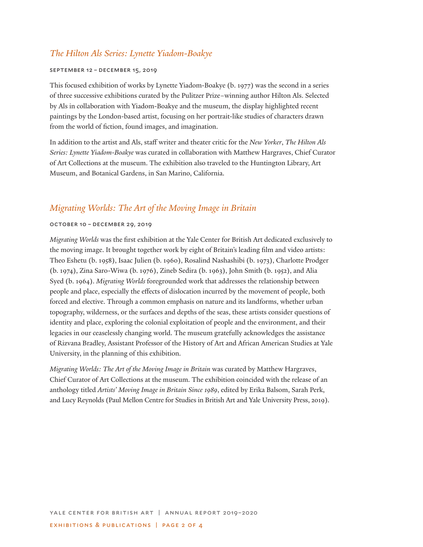# *The Hilton Als Series: Lynette Yiadom-Boakye*

#### september 12 – december 15, 2019

This focused exhibition of works by Lynette Yiadom-Boakye (b. 1977) was the second in a series of three successive exhibitions curated by the Pulitzer Prize–winning author Hilton Als. Selected by Als in collaboration with Yiadom-Boakye and the museum, the display highlighted recent paintings by the London-based artist, focusing on her portrait-like studies of characters drawn from the world of fiction, found images, and imagination.

In addition to the artist and Als, staff writer and theater critic for the *New Yorker*, *The Hilton Als Series: Lynette Yiadom-Boakye* was curated in collaboration with Matthew Hargraves, Chief Curator of Art Collections at the museum. The exhibition also traveled to the Huntington Library, Art Museum, and Botanical Gardens, in San Marino, California.

## *Migrating Worlds: The Art of the Moving Image in Britain*

#### october 10 – december 29, 2019

*Migrating Worlds* was the first exhibition at the Yale Center for British Art dedicated exclusively to the moving image. It brought together work by eight of Britain's leading film and video artists: Theo Eshetu (b. 1958), Isaac Julien (b. 1960), Rosalind Nashashibi (b. 1973), Charlotte Prodger (b. 1974), Zina Saro-Wiwa (b. 1976), Zineb Sedira (b. 1963), John Smith (b. 1952), and Alia Syed (b. 1964). *Migrating Worlds* foregrounded work that addresses the relationship between people and place, especially the effects of dislocation incurred by the movement of people, both forced and elective. Through a common emphasis on nature and its landforms, whether urban topography, wilderness, or the surfaces and depths of the seas, these artists consider questions of identity and place, exploring the colonial exploitation of people and the environment, and their legacies in our ceaselessly changing world. The museum gratefully acknowledges the assistance of Rizvana Bradley, Assistant Professor of the History of Art and African American Studies at Yale University, in the planning of this exhibition.

*Migrating Worlds: The Art of the Moving Image in Britain* was curated by Matthew Hargraves, Chief Curator of Art Collections at the museum. The exhibition coincided with the release of an anthology titled *Artists' Moving Image in Britain Since 1989*, edited by Erika Balsom, Sarah Perk, and Lucy Reynolds (Paul Mellon Centre for Studies in British Art and Yale University Press, 2019).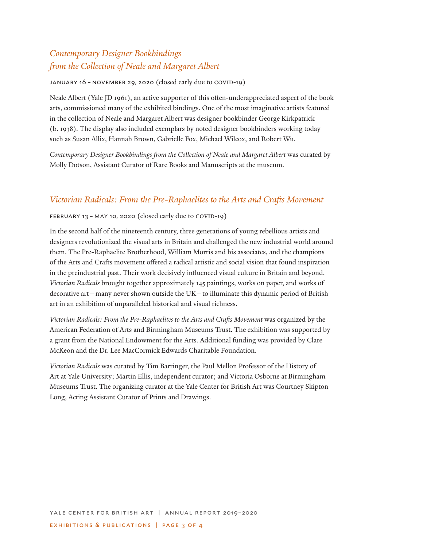# *Contemporary Designer Bookbindings from the Collection of Neale and Margaret Albert*

january 16 – november 29, 2020 (closed early due to covid-19)

Neale Albert (Yale JD 1961), an active supporter of this often-underappreciated aspect of the book arts, commissioned many of the exhibited bindings. One of the most imaginative artists featured in the collection of Neale and Margaret Albert was designer bookbinder George Kirkpatrick (b. 1938). The display also included exemplars by noted designer bookbinders working today such as Susan Allix, Hannah Brown, Gabrielle Fox, Michael Wilcox, and Robert Wu.

*Contemporary Designer Bookbindings from the Collection of Neale and Margaret Albert* was curated by Molly Dotson, Assistant Curator of Rare Books and Manuscripts at the museum.

# *Victorian Radicals: From the Pre-Raphaelites to the Arts and Crafts Movement*

### february 13 – may 10, 2020 (closed early due to covid-19)

In the second half of the nineteenth century, three generations of young rebellious artists and designers revolutionized the visual arts in Britain and challenged the new industrial world around them. The Pre-Raphaelite Brotherhood, William Morris and his associates, and the champions of the Arts and Crafts movement offered a radical artistic and social vision that found inspiration in the preindustrial past. Their work decisively influenced visual culture in Britain and beyond. *Victorian Radicals* brought together approximately 145 paintings, works on paper, and works of decorative art—many never shown outside the UK—to illuminate this dynamic period of British art in an exhibition of unparalleled historical and visual richness.

*Victorian Radicals: From the Pre-Raphaelites to the Arts and Crafts Movement* was organized by the American Federation of Arts and Birmingham Museums Trust. The exhibition was supported by a grant from the National Endowment for the Arts. Additional funding was provided by Clare McKeon and the Dr. Lee MacCormick Edwards Charitable Foundation.

*Victorian Radicals* was curated by Tim Barringer, the Paul Mellon Professor of the History of Art at Yale University; Martin Ellis, independent curator; and Victoria Osborne at Birmingham Museums Trust. The organizing curator at the Yale Center for British Art was Courtney Skipton Long, Acting Assistant Curator of Prints and Drawings.